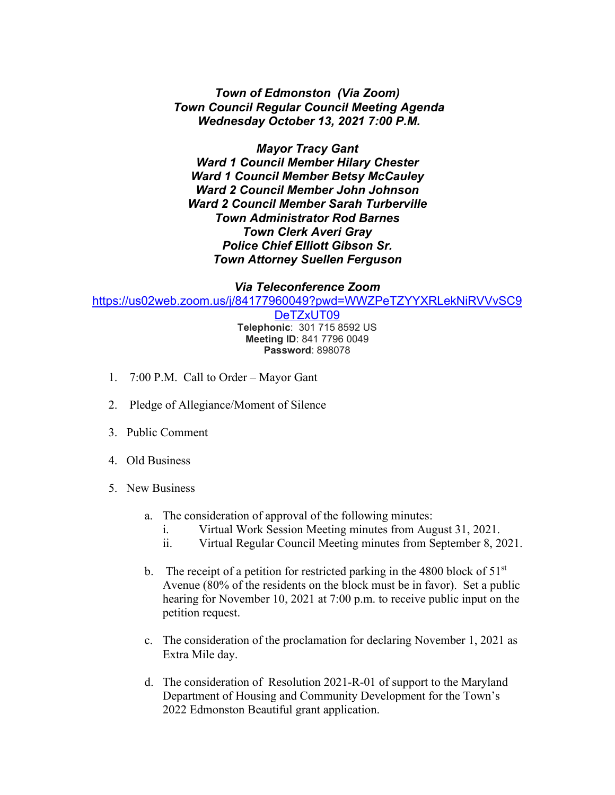## *Town of Edmonston (Via Zoom) Town Council Regular Council Meeting Agenda Wednesday October 13, 2021 7:00 P.M.*

*Mayor Tracy Gant Ward 1 Council Member Hilary Chester Ward 1 Council Member Betsy McCauley Ward 2 Council Member John Johnson Ward 2 Council Member Sarah Turberville Town Administrator Rod Barnes Town Clerk Averi Gray Police Chief Elliott Gibson Sr. Town Attorney Suellen Ferguson*

## *Via Teleconference Zoom*

[https://us02web.zoom.us/j/84177960049?pwd=WWZPeTZYYXRLekNiRVVvSC9](https://us02web.zoom.us/j/84177960049?pwd=WWZPeTZYYXRLekNiRVVvSC9DeTZxUT09)

[DeTZxUT09](https://us02web.zoom.us/j/84177960049?pwd=WWZPeTZYYXRLekNiRVVvSC9DeTZxUT09) **Telephonic**: 301 715 8592 US **Meeting ID**: 841 7796 0049 **Password**: 898078

- 1. 7:00 P.M. Call to Order Mayor Gant
- 2. Pledge of Allegiance/Moment of Silence
- 3. Public Comment
- 4. Old Business
- 5. New Business
	- a. The consideration of approval of the following minutes:
		- i. Virtual Work Session Meeting minutes from August 31, 2021.
		- ii. Virtual Regular Council Meeting minutes from September 8, 2021.
	- b. The receipt of a petition for restricted parking in the 4800 block of  $51<sup>st</sup>$ Avenue (80% of the residents on the block must be in favor). Set a public hearing for November 10, 2021 at 7:00 p.m. to receive public input on the petition request.
	- c. The consideration of the proclamation for declaring November 1, 2021 as Extra Mile day.
	- d. The consideration of Resolution 2021-R-01 of support to the Maryland Department of Housing and Community Development for the Town's 2022 Edmonston Beautiful grant application.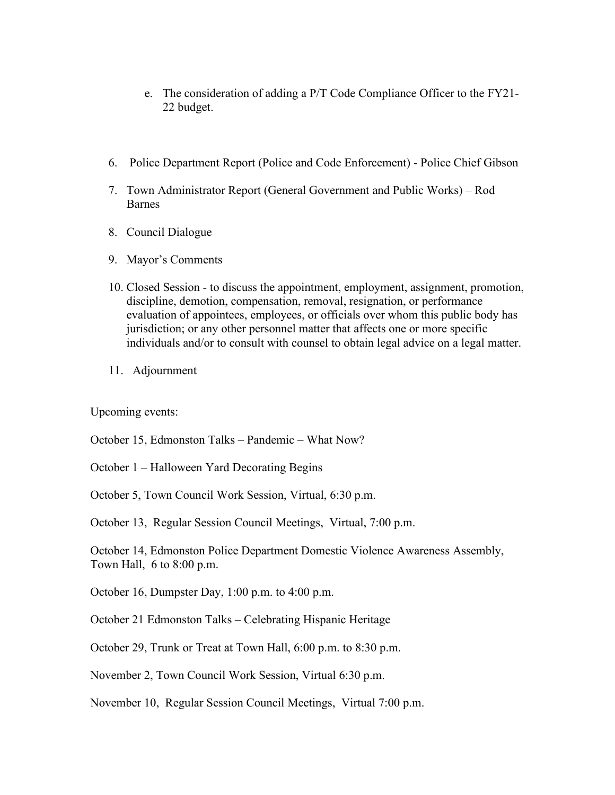- e. The consideration of adding a P/T Code Compliance Officer to the FY21- 22 budget.
- 6. Police Department Report (Police and Code Enforcement) Police Chief Gibson
- 7. Town Administrator Report (General Government and Public Works) Rod Barnes
- 8. Council Dialogue
- 9. Mayor's Comments
- 10. Closed Session to discuss the appointment, employment, assignment, promotion, discipline, demotion, compensation, removal, resignation, or performance evaluation of appointees, employees, or officials over whom this public body has jurisdiction; or any other personnel matter that affects one or more specific individuals and/or to consult with counsel to obtain legal advice on a legal matter.
- 11. Adjournment

Upcoming events:

October 15, Edmonston Talks – Pandemic – What Now?

October 1 – Halloween Yard Decorating Begins

October 5, Town Council Work Session, Virtual, 6:30 p.m.

October 13, Regular Session Council Meetings, Virtual, 7:00 p.m.

October 14, Edmonston Police Department Domestic Violence Awareness Assembly, Town Hall, 6 to 8:00 p.m.

October 16, Dumpster Day, 1:00 p.m. to 4:00 p.m.

October 21 Edmonston Talks – Celebrating Hispanic Heritage

October 29, Trunk or Treat at Town Hall, 6:00 p.m. to 8:30 p.m.

November 2, Town Council Work Session, Virtual 6:30 p.m.

November 10, Regular Session Council Meetings, Virtual 7:00 p.m.